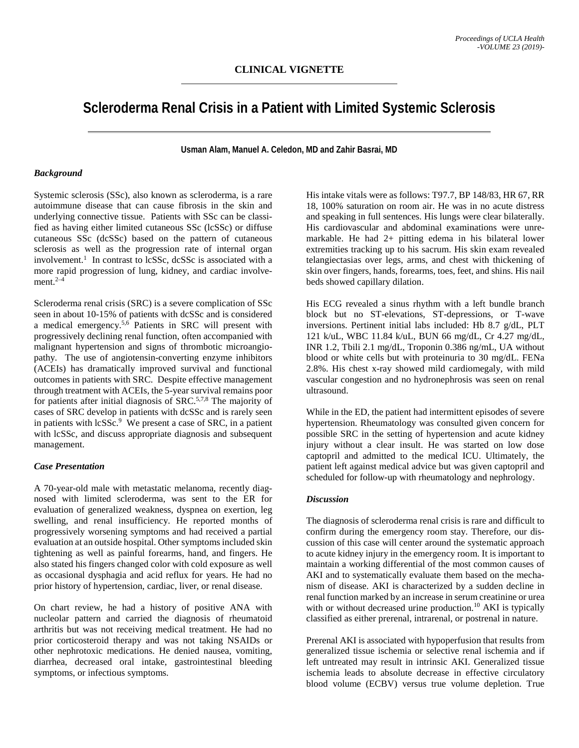# **Scleroderma Renal Crisis in a Patient with Limited Systemic Sclerosis**

**Usman Alam, Manuel A. Celedon, MD and Zahir Basrai, MD**

### *Background*

Systemic sclerosis (SSc), also known as scleroderma, is a rare autoimmune disease that can cause fibrosis in the skin and underlying connective tissue. Patients with SSc can be classified as having either limited cutaneous SSc (lcSSc) or diffuse cutaneous SSc (dcSSc) based on the pattern of cutaneous sclerosis as well as the progression rate of internal organ involvement.<sup>1</sup> In contrast to lcSSc, dcSSc is associated with a more rapid progression of lung, kidney, and cardiac involvement. $2-4$ 

Scleroderma renal crisis (SRC) is a severe complication of SSc seen in about 10-15% of patients with dcSSc and is considered a medical emergency.5,6 Patients in SRC will present with progressively declining renal function, often accompanied with malignant hypertension and signs of thrombotic microangiopathy. The use of angiotensin-converting enzyme inhibitors (ACEIs) has dramatically improved survival and functional outcomes in patients with SRC. Despite effective management through treatment with ACEIs, the 5-year survival remains poor for patients after initial diagnosis of  $SRC<sup>5,7,8</sup>$  The majority of cases of SRC develop in patients with dcSSc and is rarely seen in patients with lcSSc.<sup>9</sup> We present a case of SRC, in a patient with lcSSc, and discuss appropriate diagnosis and subsequent management.

## *Case Presentation*

A 70-year-old male with metastatic melanoma, recently diagnosed with limited scleroderma, was sent to the ER for evaluation of generalized weakness, dyspnea on exertion, leg swelling, and renal insufficiency. He reported months of progressively worsening symptoms and had received a partial evaluation at an outside hospital. Other symptoms included skin tightening as well as painful forearms, hand, and fingers. He also stated his fingers changed color with cold exposure as well as occasional dysphagia and acid reflux for years. He had no prior history of hypertension, cardiac, liver, or renal disease.

On chart review, he had a history of positive ANA with nucleolar pattern and carried the diagnosis of rheumatoid arthritis but was not receiving medical treatment. He had no prior corticosteroid therapy and was not taking NSAIDs or other nephrotoxic medications. He denied nausea, vomiting, diarrhea, decreased oral intake, gastrointestinal bleeding symptoms, or infectious symptoms.

His intake vitals were as follows: T97.7, BP 148/83, HR 67, RR 18, 100% saturation on room air. He was in no acute distress and speaking in full sentences. His lungs were clear bilaterally. His cardiovascular and abdominal examinations were unremarkable. He had 2+ pitting edema in his bilateral lower extremities tracking up to his sacrum. His skin exam revealed telangiectasias over legs, arms, and chest with thickening of skin over fingers, hands, forearms, toes, feet, and shins. His nail beds showed capillary dilation.

His ECG revealed a sinus rhythm with a left bundle branch block but no ST-elevations, ST-depressions, or T-wave inversions. Pertinent initial labs included: Hb 8.7 g/dL, PLT 121 k/uL, WBC 11.84 k/uL, BUN 66 mg/dL, Cr 4.27 mg/dL, INR 1.2, Tbili 2.1 mg/dL, Troponin 0.386 ng/mL, UA without blood or white cells but with proteinuria to 30 mg/dL. FENa 2.8%. His chest x-ray showed mild cardiomegaly, with mild vascular congestion and no hydronephrosis was seen on renal ultrasound.

While in the ED, the patient had intermittent episodes of severe hypertension. Rheumatology was consulted given concern for possible SRC in the setting of hypertension and acute kidney injury without a clear insult. He was started on low dose captopril and admitted to the medical ICU. Ultimately, the patient left against medical advice but was given captopril and scheduled for follow-up with rheumatology and nephrology.

# *Discussion*

The diagnosis of scleroderma renal crisis is rare and difficult to confirm during the emergency room stay. Therefore, our discussion of this case will center around the systematic approach to acute kidney injury in the emergency room. It is important to maintain a working differential of the most common causes of AKI and to systematically evaluate them based on the mechanism of disease. AKI is characterized by a sudden decline in renal function marked by an increase in serum creatinine or urea with or without decreased urine production.<sup>10</sup> AKI is typically classified as either prerenal, intrarenal, or postrenal in nature.

Prerenal AKI is associated with hypoperfusion that results from generalized tissue ischemia or selective renal ischemia and if left untreated may result in intrinsic AKI. Generalized tissue ischemia leads to absolute decrease in effective circulatory blood volume (ECBV) versus true volume depletion. True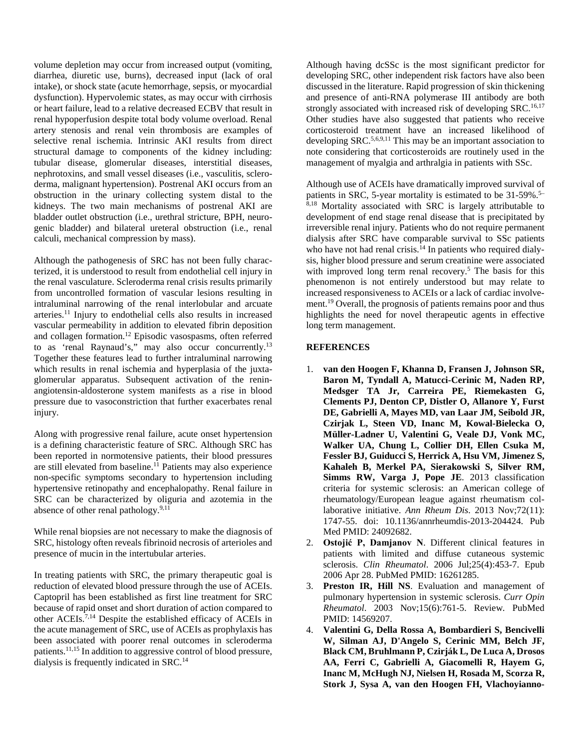volume depletion may occur from increased output (vomiting, diarrhea, diuretic use, burns), decreased input (lack of oral intake), or shock state (acute hemorrhage, sepsis, or myocardial dysfunction). Hypervolemic states, as may occur with cirrhosis or heart failure, lead to a relative decreased ECBV that result in renal hypoperfusion despite total body volume overload. Renal artery stenosis and renal vein thrombosis are examples of selective renal ischemia. Intrinsic AKI results from direct structural damage to components of the kidney including: tubular disease, glomerular diseases, interstitial diseases, nephrotoxins, and small vessel diseases (i.e., vasculitis, scleroderma, malignant hypertension). Postrenal AKI occurs from an obstruction in the urinary collecting system distal to the kidneys. The two main mechanisms of postrenal AKI are bladder outlet obstruction (i.e., urethral stricture, BPH, neurogenic bladder) and bilateral ureteral obstruction (i.e., renal calculi, mechanical compression by mass).

Although the pathogenesis of SRC has not been fully characterized, it is understood to result from endothelial cell injury in the renal vasculature. Scleroderma renal crisis results primarily from uncontrolled formation of vascular lesions resulting in intraluminal narrowing of the renal interlobular and arcuate arteries.11 Injury to endothelial cells also results in increased vascular permeability in addition to elevated fibrin deposition and collagen formation.12 Episodic vasospasms, often referred to as 'renal Raynaud's," may also occur concurrently.<sup>13</sup> Together these features lead to further intraluminal narrowing which results in renal ischemia and hyperplasia of the juxtaglomerular apparatus. Subsequent activation of the reninangiotensin-aldosterone system manifests as a rise in blood pressure due to vasoconstriction that further exacerbates renal injury.

Along with progressive renal failure, acute onset hypertension is a defining characteristic feature of SRC. Although SRC has been reported in normotensive patients, their blood pressures are still elevated from baseline.<sup>11</sup> Patients may also experience non-specific symptoms secondary to hypertension including hypertensive retinopathy and encephalopathy. Renal failure in SRC can be characterized by oliguria and azotemia in the absence of other renal pathology. $9,11$ 

While renal biopsies are not necessary to make the diagnosis of SRC, histology often reveals fibrinoid necrosis of arterioles and presence of mucin in the intertubular arteries.

In treating patients with SRC, the primary therapeutic goal is reduction of elevated blood pressure through the use of ACEIs. Captopril has been established as first line treatment for SRC because of rapid onset and short duration of action compared to other ACEIs.7,14 Despite the established efficacy of ACEIs in the acute management of SRC, use of ACEIs as prophylaxis has been associated with poorer renal outcomes in scleroderma patients.11,15 In addition to aggressive control of blood pressure, dialysis is frequently indicated in SRC.<sup>14</sup>

Although having dcSSc is the most significant predictor for developing SRC, other independent risk factors have also been discussed in the literature. Rapid progression of skin thickening and presence of anti-RNA polymerase III antibody are both strongly associated with increased risk of developing SRC.<sup>16,17</sup> Other studies have also suggested that patients who receive corticosteroid treatment have an increased likelihood of developing SRC.<sup>5,6,9,11</sup> This may be an important association to note considering that corticosteroids are routinely used in the management of myalgia and arthralgia in patients with SSc.

Although use of ACEIs have dramatically improved survival of patients in SRC, 5-year mortality is estimated to be 31-59%.<sup>5-</sup>  $8,18$  Mortality associated with SRC is largely attributable to development of end stage renal disease that is precipitated by irreversible renal injury. Patients who do not require permanent dialysis after SRC have comparable survival to SSc patients who have not had renal crisis.<sup>14</sup> In patients who required dialysis, higher blood pressure and serum creatinine were associated with improved long term renal recovery.<sup>5</sup> The basis for this phenomenon is not entirely understood but may relate to increased responsiveness to ACEIs or a lack of cardiac involvement.19 Overall, the prognosis of patients remains poor and thus highlights the need for novel therapeutic agents in effective long term management.

### **REFERENCES**

- 1. **van den Hoogen F, Khanna D, Fransen J, Johnson SR, Baron M, Tyndall A, Matucci-Cerinic M, Naden RP, Medsger TA Jr, Carreira PE, Riemekasten G, Clements PJ, Denton CP, Distler O, Allanore Y, Furst DE, Gabrielli A, Mayes MD, van Laar JM, Seibold JR, Czirjak L, Steen VD, Inanc M, Kowal-Bielecka O, Müller-Ladner U, Valentini G, Veale DJ, Vonk MC, Walker UA, Chung L, Collier DH, Ellen Csuka M, Fessler BJ, Guiducci S, Herrick A, Hsu VM, Jimenez S, Kahaleh B, Merkel PA, Sierakowski S, Silver RM, Simms RW, Varga J, Pope JE**. 2013 classification criteria for systemic sclerosis: an American college of rheumatology/European league against rheumatism collaborative initiative. *Ann Rheum Dis*. 2013 Nov;72(11): 1747-55. doi: 10.1136/annrheumdis-2013-204424. Pub Med PMID: 24092682.
- 2. **Ostojić P, Damjanov N**. Different clinical features in patients with limited and diffuse cutaneous systemic sclerosis. *Clin Rheumatol*. 2006 Jul;25(4):453-7. Epub 2006 Apr 28. PubMed PMID: 16261285.
- 3. **Preston IR, Hill NS**. Evaluation and management of pulmonary hypertension in systemic sclerosis. *Curr Opin Rheumatol*. 2003 Nov;15(6):761-5. Review. PubMed PMID: 14569207.
- 4. **Valentini G, Della Rossa A, Bombardieri S, Bencivelli W, Silman AJ, D'Angelo S, Cerinic MM, Belch JF, Black CM, Bruhlmann P, Czirják L, De Luca A, Drosos AA, Ferri C, Gabrielli A, Giacomelli R, Hayem G, Inanc M, McHugh NJ, Nielsen H, Rosada M, Scorza R, Stork J, Sysa A, van den Hoogen FH, Vlachoyianno-**